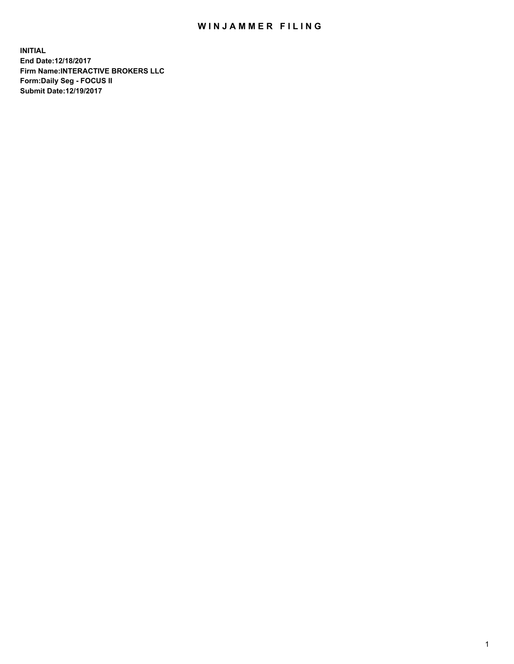## WIN JAMMER FILING

**INITIAL End Date:12/18/2017 Firm Name:INTERACTIVE BROKERS LLC Form:Daily Seg - FOCUS II Submit Date:12/19/2017**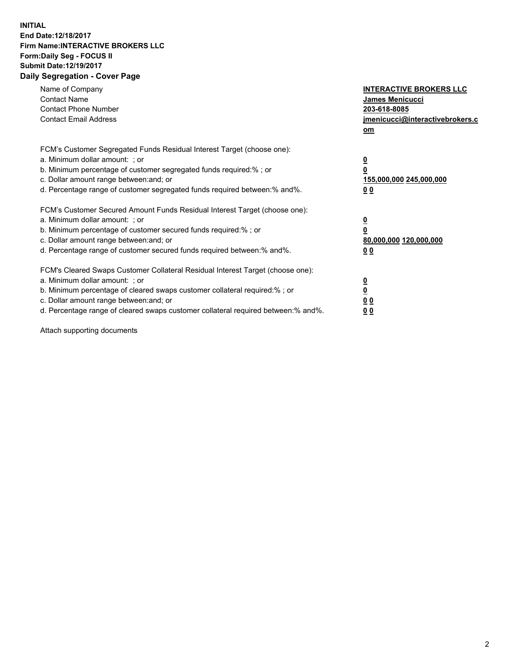## **INITIAL End Date:12/18/2017 Firm Name:INTERACTIVE BROKERS LLC Form:Daily Seg - FOCUS II Submit Date:12/19/2017 Daily Segregation - Cover Page**

| Name of Company<br><b>Contact Name</b><br><b>Contact Phone Number</b><br><b>Contact Email Address</b>                                                                                                                                                                                                                          | <b>INTERACTIVE BROKERS LLC</b><br><b>James Menicucci</b><br>203-618-8085<br>jmenicucci@interactivebrokers.c<br>om |
|--------------------------------------------------------------------------------------------------------------------------------------------------------------------------------------------------------------------------------------------------------------------------------------------------------------------------------|-------------------------------------------------------------------------------------------------------------------|
| FCM's Customer Segregated Funds Residual Interest Target (choose one):<br>a. Minimum dollar amount: ; or<br>b. Minimum percentage of customer segregated funds required:%; or<br>c. Dollar amount range between: and; or<br>d. Percentage range of customer segregated funds required between:% and%.                          | $\overline{\mathbf{0}}$<br>0<br>155,000,000 245,000,000<br>0 <sub>0</sub>                                         |
| FCM's Customer Secured Amount Funds Residual Interest Target (choose one):<br>a. Minimum dollar amount: ; or<br>b. Minimum percentage of customer secured funds required:%; or<br>c. Dollar amount range between: and; or<br>d. Percentage range of customer secured funds required between: % and %.                          | $\overline{\mathbf{0}}$<br>0<br>80,000,000 120,000,000<br>0 <sub>0</sub>                                          |
| FCM's Cleared Swaps Customer Collateral Residual Interest Target (choose one):<br>a. Minimum dollar amount: ; or<br>b. Minimum percentage of cleared swaps customer collateral required:% ; or<br>c. Dollar amount range between: and; or<br>d. Percentage range of cleared swaps customer collateral required between:% and%. | $\overline{\mathbf{0}}$<br>$\overline{\mathbf{0}}$<br>0 <sub>0</sub><br><u>00</u>                                 |

Attach supporting documents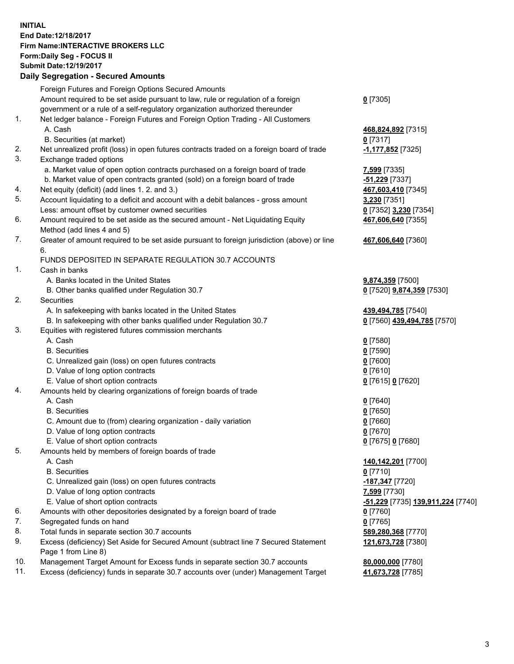## **INITIAL End Date:12/18/2017 Firm Name:INTERACTIVE BROKERS LLC Form:Daily Seg - FOCUS II Submit Date:12/19/2017**

|     | <b>Daily Segregation - Secured Amounts</b>                                                  |                                                 |
|-----|---------------------------------------------------------------------------------------------|-------------------------------------------------|
|     | Foreign Futures and Foreign Options Secured Amounts                                         |                                                 |
|     | Amount required to be set aside pursuant to law, rule or regulation of a foreign            | $0$ [7305]                                      |
|     | government or a rule of a self-regulatory organization authorized thereunder                |                                                 |
| 1.  | Net ledger balance - Foreign Futures and Foreign Option Trading - All Customers             |                                                 |
|     | A. Cash                                                                                     | 468,824,892 [7315]                              |
|     | B. Securities (at market)                                                                   | $0$ [7317]                                      |
| 2.  | Net unrealized profit (loss) in open futures contracts traded on a foreign board of trade   | 1,177,852 [7325]                                |
| 3.  | Exchange traded options                                                                     |                                                 |
|     | a. Market value of open option contracts purchased on a foreign board of trade              | 7,599 [7335]                                    |
|     | b. Market value of open contracts granted (sold) on a foreign board of trade                | -51,229 [7337]                                  |
| 4.  | Net equity (deficit) (add lines 1.2. and 3.)                                                | 467,603,410 [7345]                              |
| 5.  | Account liquidating to a deficit and account with a debit balances - gross amount           | 3,230 [7351]                                    |
|     | Less: amount offset by customer owned securities                                            | 0 [7352] 3,230 [7354]                           |
| 6.  | Amount required to be set aside as the secured amount - Net Liquidating Equity              | 467,606,640 [7355]                              |
|     | Method (add lines 4 and 5)                                                                  |                                                 |
| 7.  | Greater of amount required to be set aside pursuant to foreign jurisdiction (above) or line | 467,606,640 [7360]                              |
|     | 6.                                                                                          |                                                 |
|     | FUNDS DEPOSITED IN SEPARATE REGULATION 30.7 ACCOUNTS                                        |                                                 |
| 1.  | Cash in banks                                                                               |                                                 |
|     | A. Banks located in the United States                                                       | 9,874,359 [7500]                                |
|     | B. Other banks qualified under Regulation 30.7                                              | 0 [7520] 9,874,359 [7530]                       |
| 2.  | Securities                                                                                  |                                                 |
|     | A. In safekeeping with banks located in the United States                                   | 439,494,785 [7540]                              |
|     | B. In safekeeping with other banks qualified under Regulation 30.7                          | 0 [7560] 439,494,785 [7570]                     |
| 3.  | Equities with registered futures commission merchants                                       |                                                 |
|     | A. Cash                                                                                     | $0$ [7580]                                      |
|     | <b>B.</b> Securities                                                                        | $0$ [7590]                                      |
|     | C. Unrealized gain (loss) on open futures contracts                                         | $0$ [7600]                                      |
|     | D. Value of long option contracts                                                           | $0$ [7610]                                      |
|     | E. Value of short option contracts                                                          | 0 [7615] 0 [7620]                               |
| 4.  | Amounts held by clearing organizations of foreign boards of trade                           |                                                 |
|     | A. Cash                                                                                     | $0$ [7640]                                      |
|     | <b>B.</b> Securities                                                                        | $0$ [7650]                                      |
|     | C. Amount due to (from) clearing organization - daily variation                             | $0$ [7660]                                      |
|     | D. Value of long option contracts                                                           | $0$ [7670]                                      |
|     | E. Value of short option contracts                                                          | 0 [7675] 0 [7680]                               |
| 5.  | Amounts held by members of foreign boards of trade                                          |                                                 |
|     | A. Cash                                                                                     | 140,142,201 [7700]                              |
|     | <b>B.</b> Securities                                                                        | 0 [7710]                                        |
|     | C. Unrealized gain (loss) on open futures contracts                                         | <u>-187,347</u> [7720]                          |
|     | D. Value of long option contracts                                                           | 7,599 [7730]                                    |
|     | E. Value of short option contracts                                                          | <u>-51,229</u> [7735] <u>139,911,224</u> [7740] |
| 6.  | Amounts with other depositories designated by a foreign board of trade                      | 0 [7760]                                        |
| 7.  | Segregated funds on hand                                                                    | $0$ [7765]                                      |
| 8.  | Total funds in separate section 30.7 accounts                                               | 589,280,368 [7770]                              |
| 9.  | Excess (deficiency) Set Aside for Secured Amount (subtract line 7 Secured Statement         | 121,673,728 [7380]                              |
|     | Page 1 from Line 8)                                                                         |                                                 |
| 10. | Management Target Amount for Excess funds in separate section 30.7 accounts                 | 80,000,000 [7780]                               |
| 11. | Excess (deficiency) funds in separate 30.7 accounts over (under) Management Target          | 41,673,728 [7785]                               |
|     |                                                                                             |                                                 |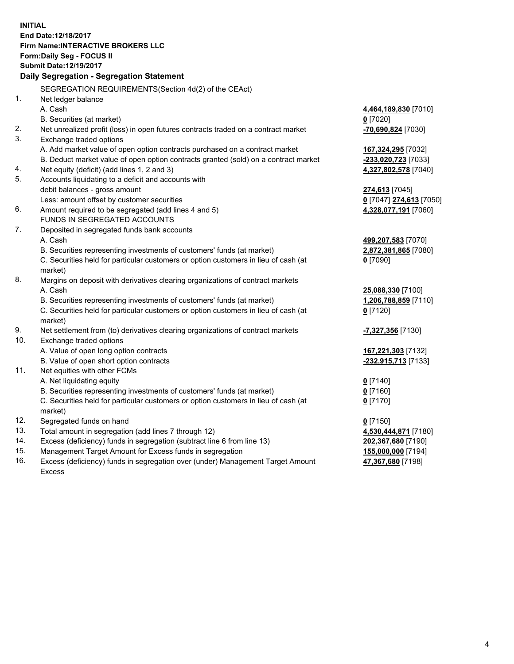**INITIAL End Date:12/18/2017 Firm Name:INTERACTIVE BROKERS LLC Form:Daily Seg - FOCUS II Submit Date:12/19/2017 Daily Segregation - Segregation Statement** SEGREGATION REQUIREMENTS(Section 4d(2) of the CEAct) 1. Net ledger balance A. Cash **4,464,189,830** [7010] B. Securities (at market) **0** [7020] 2. Net unrealized profit (loss) in open futures contracts traded on a contract market **-70,690,824** [7030] 3. Exchange traded options A. Add market value of open option contracts purchased on a contract market **167,324,295** [7032] B. Deduct market value of open option contracts granted (sold) on a contract market **-233,020,723** [7033] 4. Net equity (deficit) (add lines 1, 2 and 3) **4,327,802,578** [7040] 5. Accounts liquidating to a deficit and accounts with debit balances - gross amount **274,613** [7045] Less: amount offset by customer securities **0** [7047] **274,613** [7050] 6. Amount required to be segregated (add lines 4 and 5) **4,328,077,191** [7060] FUNDS IN SEGREGATED ACCOUNTS 7. Deposited in segregated funds bank accounts A. Cash **499,207,583** [7070] B. Securities representing investments of customers' funds (at market) **2,872,381,865** [7080] C. Securities held for particular customers or option customers in lieu of cash (at market) **0** [7090] 8. Margins on deposit with derivatives clearing organizations of contract markets A. Cash **25,088,330** [7100] B. Securities representing investments of customers' funds (at market) **1,206,788,859** [7110] C. Securities held for particular customers or option customers in lieu of cash (at market) **0** [7120] 9. Net settlement from (to) derivatives clearing organizations of contract markets **-7,327,356** [7130] 10. Exchange traded options A. Value of open long option contracts **167,221,303** [7132] B. Value of open short option contracts **-232,915,713** [7133] 11. Net equities with other FCMs A. Net liquidating equity **0** [7140] B. Securities representing investments of customers' funds (at market) **0** [7160] C. Securities held for particular customers or option customers in lieu of cash (at market) **0** [7170] 12. Segregated funds on hand **0** [7150] 13. Total amount in segregation (add lines 7 through 12) **4,530,444,871** [7180] 14. Excess (deficiency) funds in segregation (subtract line 6 from line 13) **202,367,680** [7190] 15. Management Target Amount for Excess funds in segregation **155,000,000** [7194]

16. Excess (deficiency) funds in segregation over (under) Management Target Amount Excess

**47,367,680** [7198]